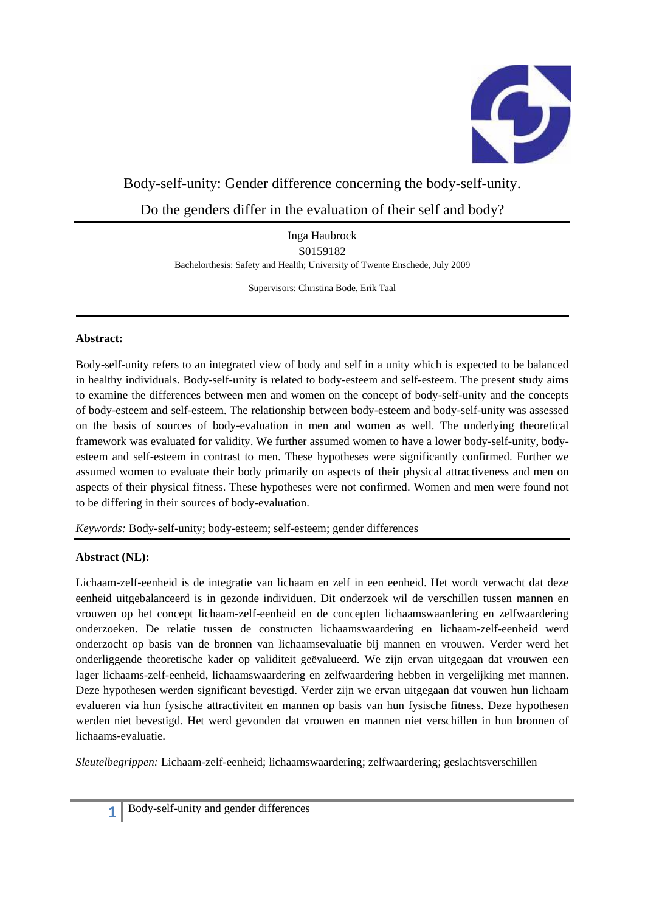

# Body-self-unity: Gender difference concerning the body-self-unity.

Do the genders differ in the evaluation of their self and body?

Inga Haubrock S0159182 Bachelorthesis: Safety and Health; University of Twente Enschede, July 2009

Supervisors: Christina Bode, Erik Taal

## **Abstract:**

Body-self-unity refers to an integrated view of body and self in a unity which is expected to be balanced in healthy individuals. Body-self-unity is related to body-esteem and self-esteem. The present study aims to examine the differences between men and women on the concept of body-self-unity and the concepts of body-esteem and self-esteem. The relationship between body-esteem and body-self-unity was assessed on the basis of sources of body-evaluation in men and women as well. The underlying theoretical framework was evaluated for validity. We further assumed women to have a lower body-self-unity, bodyesteem and self-esteem in contrast to men. These hypotheses were significantly confirmed. Further we assumed women to evaluate their body primarily on aspects of their physical attractiveness and men on aspects of their physical fitness. These hypotheses were not confirmed. Women and men were found not to be differing in their sources of body-evaluation.

*Keywords:* Body-self-unity; body-esteem; self-esteem; gender differences

# **Abstract (NL):**

Lichaam-zelf-eenheid is de integratie van lichaam en zelf in een eenheid. Het wordt verwacht dat deze eenheid uitgebalanceerd is in gezonde individuen. Dit onderzoek wil de verschillen tussen mannen en vrouwen op het concept lichaam-zelf-eenheid en de concepten lichaamswaardering en zelfwaardering onderzoeken. De relatie tussen de constructen lichaamswaardering en lichaam-zelf-eenheid werd onderzocht op basis van de bronnen van lichaamsevaluatie bij mannen en vrouwen. Verder werd het onderliggende theoretische kader op validiteit geëvalueerd. We zijn ervan uitgegaan dat vrouwen een lager lichaams-zelf-eenheid, lichaamswaardering en zelfwaardering hebben in vergelijking met mannen. Deze hypothesen werden significant bevestigd. Verder zijn we ervan uitgegaan dat vouwen hun lichaam evalueren via hun fysische attractiviteit en mannen op basis van hun fysische fitness. Deze hypothesen werden niet bevestigd. Het werd gevonden dat vrouwen en mannen niet verschillen in hun bronnen of lichaams-evaluatie.

*Sleutelbegrippen:* Lichaam-zelf-eenheid; lichaamswaardering; zelfwaardering; geslachtsverschillen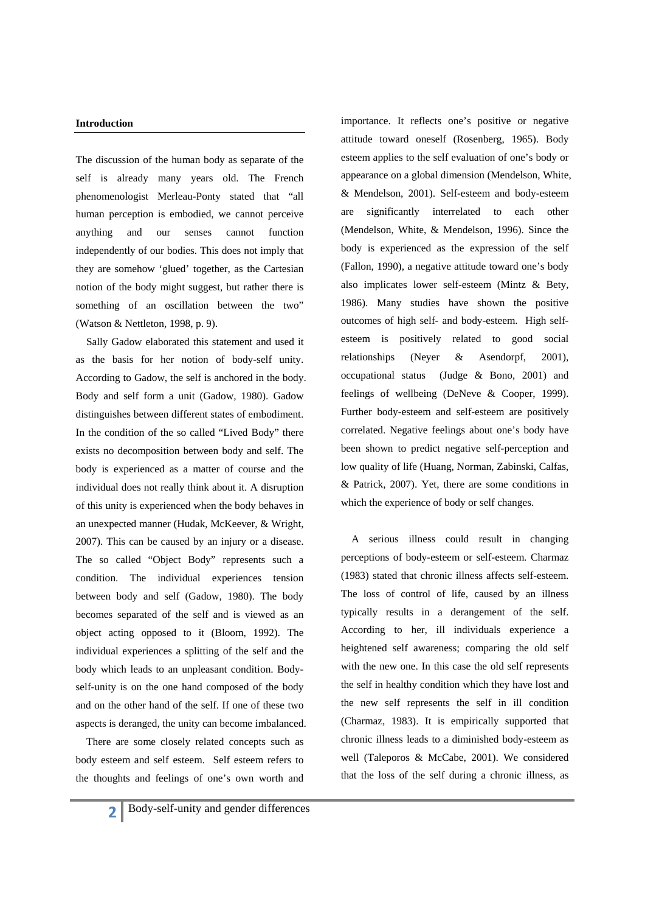#### **Introduction**

The discussion of the human body as separate of the self is already many years old. The French phenomenologist Merleau-Ponty stated that "all human perception is embodied, we cannot perceive anything and our senses cannot function independently of our bodies. This does not imply that they are somehow 'glued' together, as the Cartesian notion of the body might suggest, but rather there is something of an oscillation between the two" (Watson & Nettleton, 1998, p. 9).

 Sally Gadow elaborated this statement and used it as the basis for her notion of body-self unity. According to Gadow, the self is anchored in the body. Body and self form a unit (Gadow, 1980). Gadow distinguishes between different states of embodiment. In the condition of the so called "Lived Body" there exists no decomposition between body and self. The body is experienced as a matter of course and the individual does not really think about it. A disruption of this unity is experienced when the body behaves in an unexpected manner (Hudak, McKeever, & Wright, 2007). This can be caused by an injury or a disease. The so called "Object Body" represents such a condition. The individual experiences tension between body and self (Gadow, 1980). The body becomes separated of the self and is viewed as an object acting opposed to it (Bloom, 1992). The individual experiences a splitting of the self and the body which leads to an unpleasant condition. Bodyself-unity is on the one hand composed of the body and on the other hand of the self. If one of these two aspects is deranged, the unity can become imbalanced.

 There are some closely related concepts such as body esteem and self esteem. Self esteem refers to the thoughts and feelings of one's own worth and importance. It reflects one's positive or negative attitude toward oneself (Rosenberg, 1965). Body esteem applies to the self evaluation of one's body or appearance on a global dimension (Mendelson, White, & Mendelson, 2001). Self-esteem and body-esteem are significantly interrelated to each other (Mendelson, White, & Mendelson, 1996). Since the body is experienced as the expression of the self (Fallon, 1990), a negative attitude toward one's body also implicates lower self-esteem (Mintz & Bety, 1986). Many studies have shown the positive outcomes of high self- and body-esteem. High selfesteem is positively related to good social relationships (Neyer & Asendorpf, 2001), occupational status (Judge & Bono, 2001) and feelings of wellbeing (DeNeve & Cooper, 1999). Further body-esteem and self-esteem are positively correlated. Negative feelings about one's body have been shown to predict negative self-perception and low quality of life (Huang, Norman, Zabinski, Calfas, & Patrick, 2007). Yet, there are some conditions in which the experience of body or self changes.

 A serious illness could result in changing perceptions of body-esteem or self-esteem. Charmaz (1983) stated that chronic illness affects self-esteem. The loss of control of life, caused by an illness typically results in a derangement of the self. According to her, ill individuals experience a heightened self awareness; comparing the old self with the new one. In this case the old self represents the self in healthy condition which they have lost and the new self represents the self in ill condition (Charmaz, 1983). It is empirically supported that chronic illness leads to a diminished body-esteem as well (Taleporos & McCabe, 2001). We considered that the loss of the self during a chronic illness, as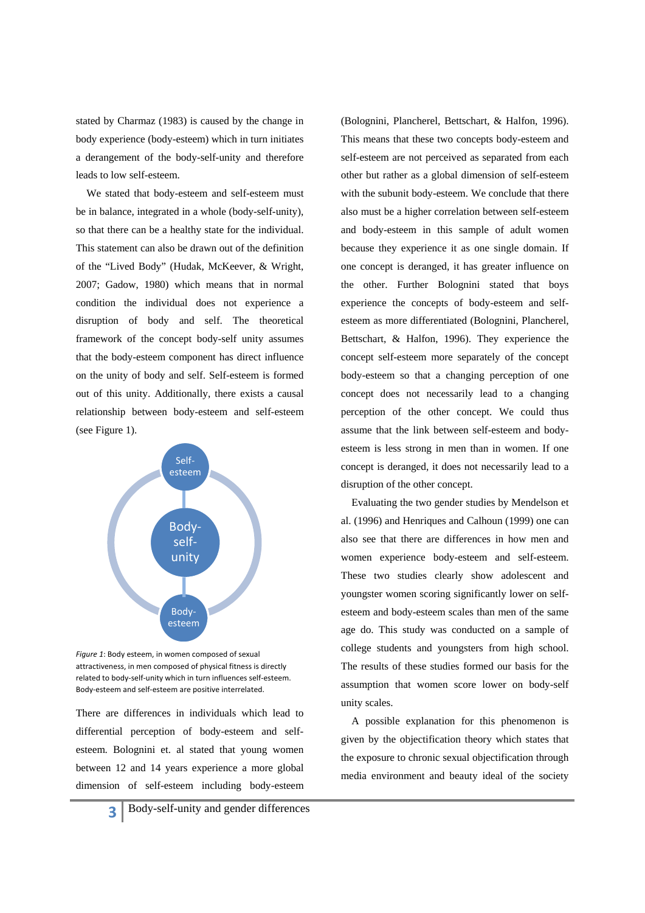stated by Charmaz (1983) is caused by the change in body experience (body-esteem) which in turn initiates a derangement of the body-self-unity and therefore leads to low self-esteem.

 We stated that body-esteem and self-esteem must be in balance, integrated in a whole (body-self-unity), so that there can be a healthy state for the individual. This statement can also be drawn out of the definition of the "Lived Body" (Hudak, McKeever, & Wright, 2007; Gadow, 1980) which means that in normal condition the individual does not experience a disruption of body and self. The theoretical framework of the concept body-self unity assumes that the body-esteem component has direct influence on the unity of body and self. Self-esteem is formed out of this unity. Additionally, there exists a causal relationship between body-esteem and self-esteem (see Figure 1).



*Figure 1*: Body esteem, in women composed of sexual attractiveness, in men composed of physical fitness is directly related to body‐self‐unity which in turn influences self‐esteem. Body‐esteem and self‐esteem are positive interrelated.

There are differences in individuals which lead to differential perception of body-esteem and selfesteem. Bolognini et. al stated that young women between 12 and 14 years experience a more global dimension of self-esteem including body-esteem

(Bolognini, Plancherel, Bettschart, & Halfon, 1996). This means that these two concepts body-esteem and self-esteem are not perceived as separated from each other but rather as a global dimension of self-esteem with the subunit body-esteem. We conclude that there also must be a higher correlation between self-esteem and body-esteem in this sample of adult women because they experience it as one single domain. If one concept is deranged, it has greater influence on the other. Further Bolognini stated that boys experience the concepts of body-esteem and selfesteem as more differentiated (Bolognini, Plancherel, Bettschart, & Halfon, 1996). They experience the concept self-esteem more separately of the concept body-esteem so that a changing perception of one concept does not necessarily lead to a changing perception of the other concept. We could thus assume that the link between self-esteem and bodyesteem is less strong in men than in women. If one concept is deranged, it does not necessarily lead to a disruption of the other concept.

 Evaluating the two gender studies by Mendelson et al. (1996) and Henriques and Calhoun (1999) one can also see that there are differences in how men and women experience body-esteem and self-esteem. These two studies clearly show adolescent and youngster women scoring significantly lower on selfesteem and body-esteem scales than men of the same age do. This study was conducted on a sample of college students and youngsters from high school. The results of these studies formed our basis for the assumption that women score lower on body-self unity scales.

 A possible explanation for this phenomenon is given by the objectification theory which states that the exposure to chronic sexual objectification through media environment and beauty ideal of the society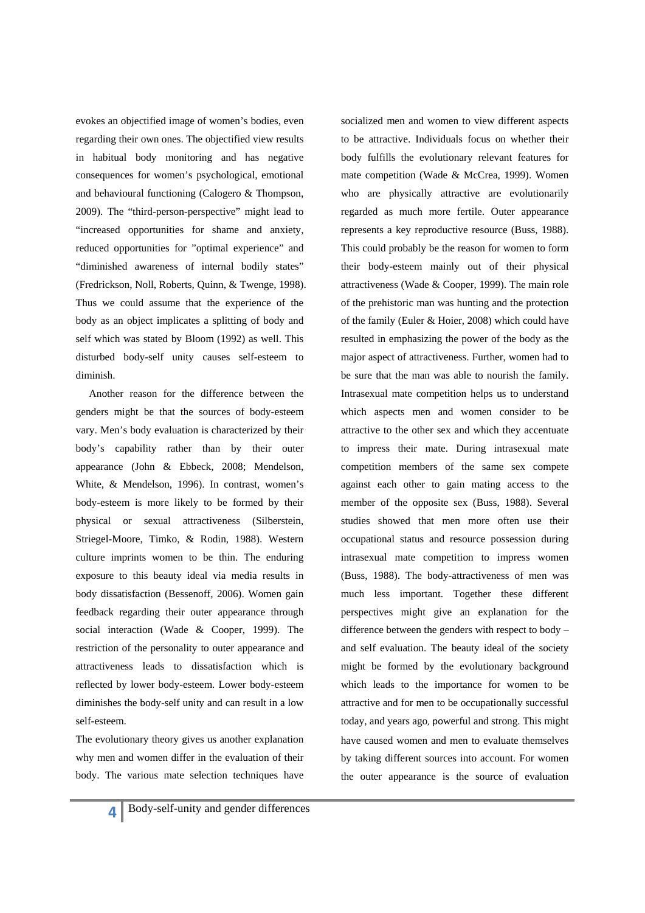evokes an objectified image of women's bodies, even regarding their own ones. The objectified view results in habitual body monitoring and has negative consequences for women's psychological, emotional and behavioural functioning (Calogero & Thompson, 2009). The "third-person-perspective" might lead to "increased opportunities for shame and anxiety, reduced opportunities for "optimal experience" and "diminished awareness of internal bodily states" (Fredrickson, Noll, Roberts, Quinn, & Twenge, 1998). Thus we could assume that the experience of the body as an object implicates a splitting of body and self which was stated by Bloom (1992) as well. This disturbed body-self unity causes self-esteem to diminish.

Another reason for the difference between the genders might be that the sources of body-esteem vary. Men's body evaluation is characterized by their body's capability rather than by their outer appearance (John & Ebbeck, 2008; Mendelson, White, & Mendelson, 1996). In contrast, women's body-esteem is more likely to be formed by their physical or sexual attractiveness (Silberstein, Striegel-Moore, Timko, & Rodin, 1988). Western culture imprints women to be thin. The enduring exposure to this beauty ideal via media results in body dissatisfaction (Bessenoff, 2006). Women gain feedback regarding their outer appearance through social interaction (Wade & Cooper, 1999). The restriction of the personality to outer appearance and attractiveness leads to dissatisfaction which is reflected by lower body-esteem. Lower body-esteem diminishes the body-self unity and can result in a low self-esteem.

The evolutionary theory gives us another explanation why men and women differ in the evaluation of their body. The various mate selection techniques have socialized men and women to view different aspects to be attractive. Individuals focus on whether their body fulfills the evolutionary relevant features for mate competition (Wade & McCrea, 1999). Women who are physically attractive are evolutionarily regarded as much more fertile. Outer appearance represents a key reproductive resource (Buss, 1988). This could probably be the reason for women to form their body-esteem mainly out of their physical attractiveness (Wade & Cooper, 1999). The main role of the prehistoric man was hunting and the protection of the family (Euler & Hoier, 2008) which could have resulted in emphasizing the power of the body as the major aspect of attractiveness. Further, women had to be sure that the man was able to nourish the family. Intrasexual mate competition helps us to understand which aspects men and women consider to be attractive to the other sex and which they accentuate to impress their mate. During intrasexual mate competition members of the same sex compete against each other to gain mating access to the member of the opposite sex (Buss, 1988). Several studies showed that men more often use their occupational status and resource possession during intrasexual mate competition to impress women (Buss, 1988). The body-attractiveness of men was much less important. Together these different perspectives might give an explanation for the difference between the genders with respect to body – and self evaluation. The beauty ideal of the society might be formed by the evolutionary background which leads to the importance for women to be attractive and for men to be occupationally successful today, and years ago, powerful and strong. This might have caused women and men to evaluate themselves by taking different sources into account. For women the outer appearance is the source of evaluation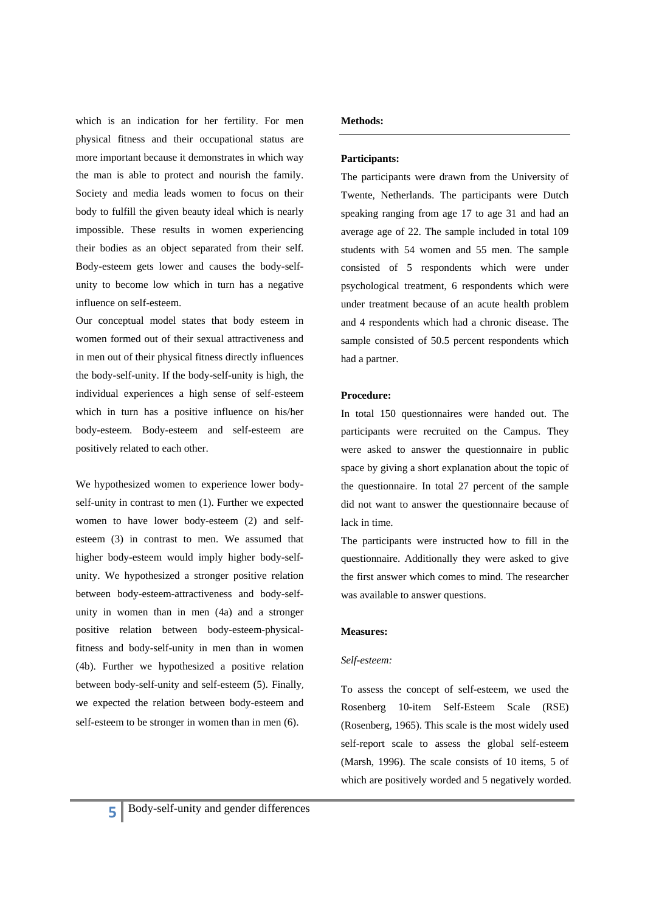which is an indication for her fertility. For men physical fitness and their occupational status are more important because it demonstrates in which way the man is able to protect and nourish the family. Society and media leads women to focus on their body to fulfill the given beauty ideal which is nearly impossible. These results in women experiencing their bodies as an object separated from their self. Body-esteem gets lower and causes the body-selfunity to become low which in turn has a negative influence on self-esteem.

Our conceptual model states that body esteem in women formed out of their sexual attractiveness and in men out of their physical fitness directly influences the body-self-unity. If the body-self-unity is high, the individual experiences a high sense of self-esteem which in turn has a positive influence on his/her body-esteem. Body-esteem and self-esteem are positively related to each other.

We hypothesized women to experience lower bodyself-unity in contrast to men (1). Further we expected women to have lower body-esteem (2) and selfesteem (3) in contrast to men. We assumed that higher body-esteem would imply higher body-selfunity. We hypothesized a stronger positive relation between body-esteem-attractiveness and body-selfunity in women than in men (4a) and a stronger positive relation between body-esteem-physicalfitness and body-self-unity in men than in women (4b). Further we hypothesized a positive relation between body-self-unity and self-esteem (5). Finally, we expected the relation between body-esteem and self-esteem to be stronger in women than in men (6).

### **Methods:**

### **Participants:**

The participants were drawn from the University of Twente, Netherlands. The participants were Dutch speaking ranging from age 17 to age 31 and had an average age of 22. The sample included in total 109 students with 54 women and 55 men. The sample consisted of 5 respondents which were under psychological treatment, 6 respondents which were under treatment because of an acute health problem and 4 respondents which had a chronic disease. The sample consisted of 50.5 percent respondents which had a partner.

#### **Procedure:**

In total 150 questionnaires were handed out. The participants were recruited on the Campus. They were asked to answer the questionnaire in public space by giving a short explanation about the topic of the questionnaire. In total 27 percent of the sample did not want to answer the questionnaire because of lack in time.

The participants were instructed how to fill in the questionnaire. Additionally they were asked to give the first answer which comes to mind. The researcher was available to answer questions.

#### **Measures:**

#### *Self-esteem:*

To assess the concept of self-esteem, we used the Rosenberg 10-item Self-Esteem Scale (RSE) (Rosenberg, 1965). This scale is the most widely used self-report scale to assess the global self-esteem (Marsh, 1996). The scale consists of 10 items, 5 of which are positively worded and 5 negatively worded.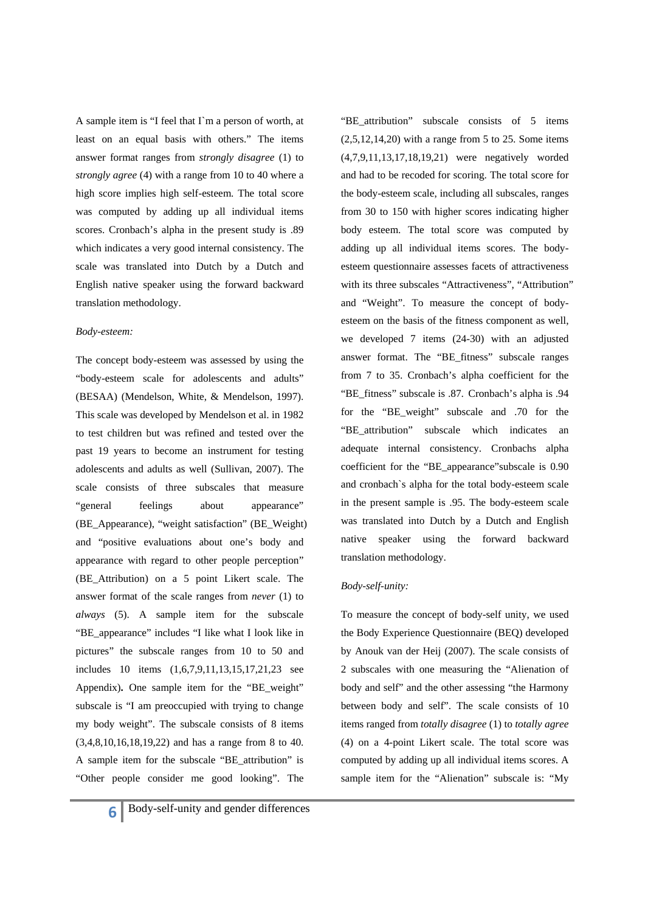A sample item is "I feel that I`m a person of worth, at least on an equal basis with others." The items answer format ranges from *strongly disagree* (1) to *strongly agree* (4) with a range from 10 to 40 where a high score implies high self-esteem. The total score was computed by adding up all individual items scores. Cronbach's alpha in the present study is .89 which indicates a very good internal consistency. The scale was translated into Dutch by a Dutch and English native speaker using the forward backward translation methodology.

#### *Body-esteem:*

The concept body-esteem was assessed by using the "body-esteem scale for adolescents and adults" (BESAA) (Mendelson, White, & Mendelson, 1997). This scale was developed by Mendelson et al. in 1982 to test children but was refined and tested over the past 19 years to become an instrument for testing adolescents and adults as well (Sullivan, 2007). The scale consists of three subscales that measure "general feelings about appearance" (BE\_Appearance), "weight satisfaction" (BE\_Weight) and "positive evaluations about one's body and appearance with regard to other people perception" (BE\_Attribution) on a 5 point Likert scale. The answer format of the scale ranges from *never* (1) to *always* (5). A sample item for the subscale "BE\_appearance" includes "I like what I look like in pictures" the subscale ranges from 10 to 50 and includes 10 items (1,6,7,9,11,13,15,17,21,23 see Appendix)**.** One sample item for the "BE\_weight" subscale is "I am preoccupied with trying to change my body weight". The subscale consists of 8 items (3,4,8,10,16,18,19,22) and has a range from 8 to 40. A sample item for the subscale "BE\_attribution" is "Other people consider me good looking". The

"BE\_attribution" subscale consists of 5 items  $(2.5.12.14.20)$  with a range from 5 to 25. Some items (4,7,9,11,13,17,18,19,21) were negatively worded and had to be recoded for scoring. The total score for the body-esteem scale, including all subscales, ranges from 30 to 150 with higher scores indicating higher body esteem. The total score was computed by adding up all individual items scores. The bodyesteem questionnaire assesses facets of attractiveness with its three subscales "Attractiveness", "Attribution" and "Weight". To measure the concept of bodyesteem on the basis of the fitness component as well, we developed 7 items (24-30) with an adjusted answer format. The "BE\_fitness" subscale ranges from 7 to 35. Cronbach's alpha coefficient for the "BE\_fitness" subscale is .87. Cronbach's alpha is .94 for the "BE\_weight" subscale and .70 for the "BE\_attribution" subscale which indicates an adequate internal consistency. Cronbachs alpha coefficient for the "BE\_appearance"subscale is 0.90 and cronbach`s alpha for the total body-esteem scale in the present sample is .95. The body-esteem scale was translated into Dutch by a Dutch and English native speaker using the forward backward translation methodology.

### *Body-self-unity:*

To measure the concept of body-self unity, we used the Body Experience Questionnaire (BEQ) developed by Anouk van der Heij (2007). The scale consists of 2 subscales with one measuring the "Alienation of body and self" and the other assessing "the Harmony between body and self". The scale consists of 10 items ranged from *totally disagree* (1) to *totally agree* (4) on a 4-point Likert scale. The total score was computed by adding up all individual items scores. A sample item for the "Alienation" subscale is: "My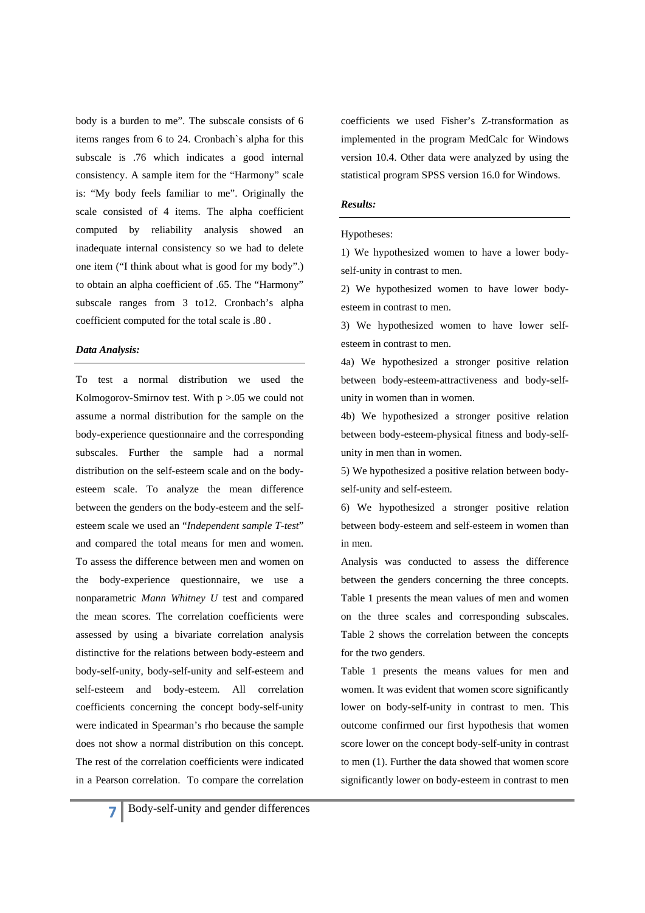body is a burden to me". The subscale consists of 6 items ranges from 6 to 24. Cronbach`s alpha for this subscale is .76 which indicates a good internal consistency. A sample item for the "Harmony" scale is: "My body feels familiar to me". Originally the scale consisted of 4 items. The alpha coefficient computed by reliability analysis showed an inadequate internal consistency so we had to delete one item ("I think about what is good for my body".) to obtain an alpha coefficient of .65. The "Harmony" subscale ranges from 3 to12. Cronbach's alpha coefficient computed for the total scale is .80 .

#### *Data Analysis:*

To test a normal distribution we used the Kolmogorov-Smirnov test. With  $p > 0.05$  we could not assume a normal distribution for the sample on the body-experience questionnaire and the corresponding subscales. Further the sample had a normal distribution on the self-esteem scale and on the bodyesteem scale. To analyze the mean difference between the genders on the body-esteem and the selfesteem scale we used an "*Independent sample T-test*" and compared the total means for men and women. To assess the difference between men and women on the body-experience questionnaire, we use a nonparametric *Mann Whitney U* test and compared the mean scores. The correlation coefficients were assessed by using a bivariate correlation analysis distinctive for the relations between body-esteem and body-self-unity, body-self-unity and self-esteem and self-esteem and body-esteem. All correlation coefficients concerning the concept body-self-unity were indicated in Spearman's rho because the sample does not show a normal distribution on this concept. The rest of the correlation coefficients were indicated in a Pearson correlation. To compare the correlation coefficients we used Fisher's Z-transformation as implemented in the program MedCalc for Windows version 10.4. Other data were analyzed by using the statistical program SPSS version 16.0 for Windows.

#### *Results:*

#### Hypotheses:

1) We hypothesized women to have a lower bodyself-unity in contrast to men.

2) We hypothesized women to have lower bodyesteem in contrast to men.

3) We hypothesized women to have lower selfesteem in contrast to men.

4a) We hypothesized a stronger positive relation between body-esteem-attractiveness and body-selfunity in women than in women.

4b) We hypothesized a stronger positive relation between body-esteem-physical fitness and body-selfunity in men than in women.

5) We hypothesized a positive relation between bodyself-unity and self-esteem.

6) We hypothesized a stronger positive relation between body-esteem and self-esteem in women than in men.

Analysis was conducted to assess the difference between the genders concerning the three concepts. Table 1 presents the mean values of men and women on the three scales and corresponding subscales. Table 2 shows the correlation between the concepts for the two genders.

Table 1 presents the means values for men and women. It was evident that women score significantly lower on body-self-unity in contrast to men. This outcome confirmed our first hypothesis that women score lower on the concept body-self-unity in contrast to men (1). Further the data showed that women score significantly lower on body-esteem in contrast to men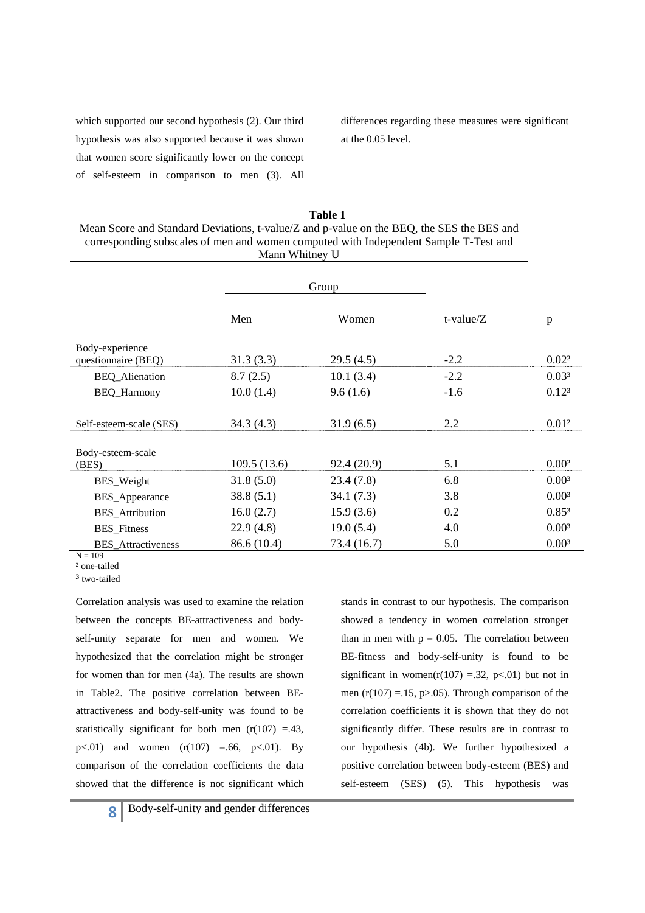which supported our second hypothesis (2). Our third hypothesis was also supported because it was shown that women score significantly lower on the concept of self-esteem in comparison to men (3). All differences regarding these measures were significant at the 0.05 level.

| Table 1                                                                                   |
|-------------------------------------------------------------------------------------------|
| Mean Score and Standard Deviations, t-value/Z and p-value on the BEQ, the SES the BES and |
| corresponding subscales of men and women computed with Independent Sample T-Test and      |
| Mann Whitney U                                                                            |

|                            |             | Group       |              |                   |
|----------------------------|-------------|-------------|--------------|-------------------|
|                            | Men         | Women       | t-value/ $Z$ | D                 |
| Body-experience            |             |             |              |                   |
| questionnaire (BEQ)        | 31.3(3.3)   | 29.5(4.5)   | $-2.2$       | 0.02 <sup>2</sup> |
| <b>BEQ_Alienation</b>      | 8.7(2.5)    | 10.1(3.4)   | $-2.2$       | 0.03 <sup>3</sup> |
| <b>BEQ_Harmony</b>         | 10.0(1.4)   | 9.6(1.6)    | $-1.6$       | 0.12 <sup>3</sup> |
|                            |             |             |              |                   |
| Self-esteem-scale (SES)    | 34.3(4.3)   | 31.9(6.5)   | 2.2          | 0.01 <sup>2</sup> |
|                            |             |             |              |                   |
| Body-esteem-scale<br>(BES) | 109.5(13.6) | 92.4 (20.9) | 5.1          | 0.00 <sup>2</sup> |
| BES_Weight                 | 31.8(5.0)   | 23.4(7.8)   | 6.8          | 0.00 <sup>3</sup> |
| BES_Appearance             | 38.8(5.1)   | 34.1(7.3)   | 3.8          | 0.00 <sup>3</sup> |
| <b>BES_Attribution</b>     | 16.0(2.7)   | 15.9(3.6)   | 0.2          | 0.85 <sup>3</sup> |
| <b>BES_Fitness</b>         | 22.9(4.8)   | 19.0(5.4)   | 4.0          | 0.00 <sup>3</sup> |
| <b>BES_Attractiveness</b>  | 86.6 (10.4) | 73.4 (16.7) | 5.0          | 0.00 <sup>3</sup> |

 $N = 109$ 

² one-tailed

³ two-tailed

Correlation analysis was used to examine the relation between the concepts BE-attractiveness and bodyself-unity separate for men and women. We hypothesized that the correlation might be stronger for women than for men (4a). The results are shown in Table2. The positive correlation between BEattractiveness and body-self-unity was found to be statistically significant for both men  $(r(107) = .43)$ , p $< .01$ ) and women  $(r(107) = .66, p < .01)$ . By comparison of the correlation coefficients the data showed that the difference is not significant which stands in contrast to our hypothesis. The comparison showed a tendency in women correlation stronger than in men with  $p = 0.05$ . The correlation between BE-fitness and body-self-unity is found to be significant in women( $r(107)$  =.32,  $p<01$ ) but not in men ( $r(107) = .15$ ,  $p > .05$ ). Through comparison of the correlation coefficients it is shown that they do not significantly differ. These results are in contrast to our hypothesis (4b). We further hypothesized a positive correlation between body-esteem (BES) and self-esteem (SES) (5). This hypothesis was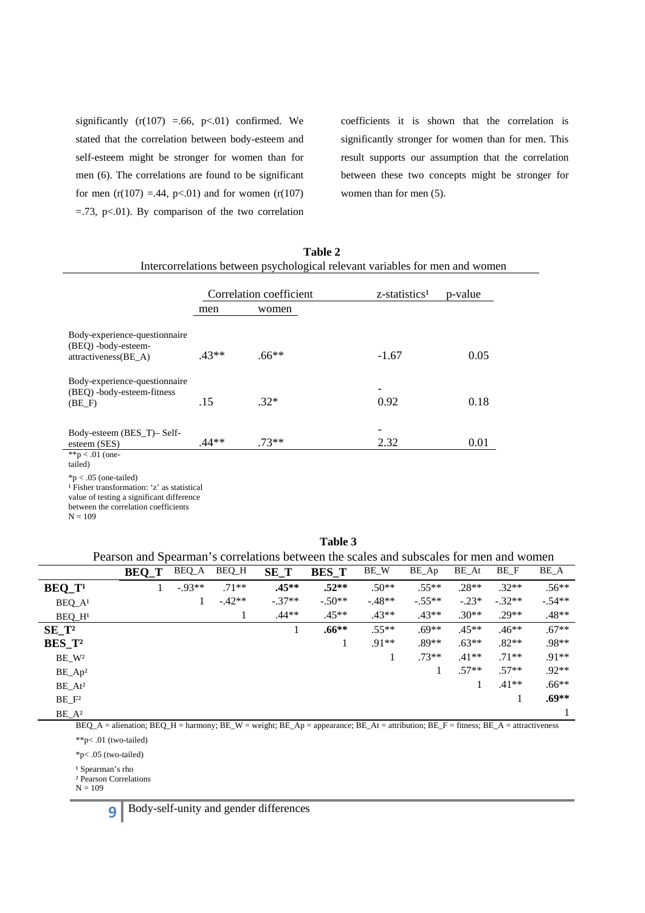significantly  $(r(107) = .66, p<.01)$  confirmed. We stated that the correlation between body-esteem and self-esteem might be stronger for women than for men (6). The correlations are found to be significant for men  $(r(107) = .44, p<.01)$  and for women  $(r(107)$  $=$ .73, p $<$ .01). By comparison of the two correlation

coefficients it is shown that the correlation is significantly stronger for women than for men. This result supports our assumption that the correlation between these two concepts might be stronger for women than for men (5).

|                                                                                                                                                                                     |                         | Intercorrelations between psychological relevant variables for men and women |                           |         |
|-------------------------------------------------------------------------------------------------------------------------------------------------------------------------------------|-------------------------|------------------------------------------------------------------------------|---------------------------|---------|
|                                                                                                                                                                                     | Correlation coefficient |                                                                              | z-statistics <sup>1</sup> | p-value |
|                                                                                                                                                                                     | men                     | women                                                                        |                           |         |
| Body-experience-questionnaire<br>(BEQ) -body-esteem-<br>attractiveness(BE_A)                                                                                                        | $.43**$                 | $.66**$                                                                      | $-1.67$                   | 0.05    |
| Body-experience-questionnaire<br>(BEQ) -body-esteem-fitness<br>$(BE_F)$                                                                                                             | .15                     | $.32*$                                                                       | 0.92                      | 0.18    |
| Body-esteem (BES_T)-Self-<br>esteem (SES)<br>**p < .01 (one-<br>tailed)                                                                                                             | $.44**$                 | $.73**$                                                                      | 2.32                      | 0.01    |
| $np < .05$ (one-tailed)<br><sup>1</sup> Fisher transformation: 'z' as statistical<br>value of testing a significant difference<br>between the correlation coefficients<br>$N = 109$ |                         |                                                                              |                           |         |

**Table 2**  Intercorrelations between psychological relevant variables for men and women

| Table |
|-------|
|-------|

Pearson and Spearman's correlations between the scales and subscales for men and women

|                      | r carbon and opearman b |           |         | <u>correlations occured the searcs and sucsearcs for men and women</u> |              |         |          |         |          |          |
|----------------------|-------------------------|-----------|---------|------------------------------------------------------------------------|--------------|---------|----------|---------|----------|----------|
|                      | <b>BEQ_T</b>            | BEQ_A     | BEQ_H   | $SE_T$                                                                 | <b>BES_T</b> | BE_W    | BE_Ap    | BE_At   | BE_F     | BE_A     |
| $BEQ_T$ <sup>1</sup> |                         | $-0.93**$ | $.71**$ | $.45**$                                                                | $.52**$      | $.50**$ | $.55**$  | $.28**$ | $.32**$  | $.56**$  |
| $BEQ_A^1$            |                         |           | $-42**$ | $-.37**$                                                               | $-.50**$     | $-48**$ | $-.55**$ | $-.23*$ | $-.32**$ | $-.54**$ |
| $BEQ_H$ <sup>1</sup> |                         |           |         | $.44**$                                                                | $.45**$      | $.43**$ | $.43**$  | $.30**$ | $.29**$  | $.48**$  |
| $SE_T^2$             |                         |           |         |                                                                        | $.66***$     | $.55**$ | $.69**$  | $.45**$ | $.46**$  | $.67**$  |
| BES T <sup>2</sup>   |                         |           |         |                                                                        |              | $.91**$ | $.89**$  | $.63**$ | $.82**$  | .98**    |
| BE_W <sup>2</sup>    |                         |           |         |                                                                        |              |         | $.73**$  | $.41**$ | $.71**$  | $.91**$  |
| $BE_Ap^2$            |                         |           |         |                                                                        |              |         |          | $.57**$ | $.57**$  | $.92**$  |
| BE_At <sup>2</sup>   |                         |           |         |                                                                        |              |         |          |         | $.41**$  | $.66***$ |
| $BE_F^2$             |                         |           |         |                                                                        |              |         |          |         |          | $.69**$  |
| $BE_A^2$             |                         |           |         |                                                                        |              |         |          |         |          |          |

BEQ\_A = alienation; BEQ\_H = harmony; BE\_W = weight; BE\_Ap = appearance; BE\_At = attribution; BE\_F = fitness; BE\_A = attractiveness

\*\*p< .01 (two-tailed)

\*p< .05 (two-tailed)

<sup>1</sup> Spearman's rho

² Pearson Correlations

 $N = 109$ 

**9** Body-self-unity and gender differences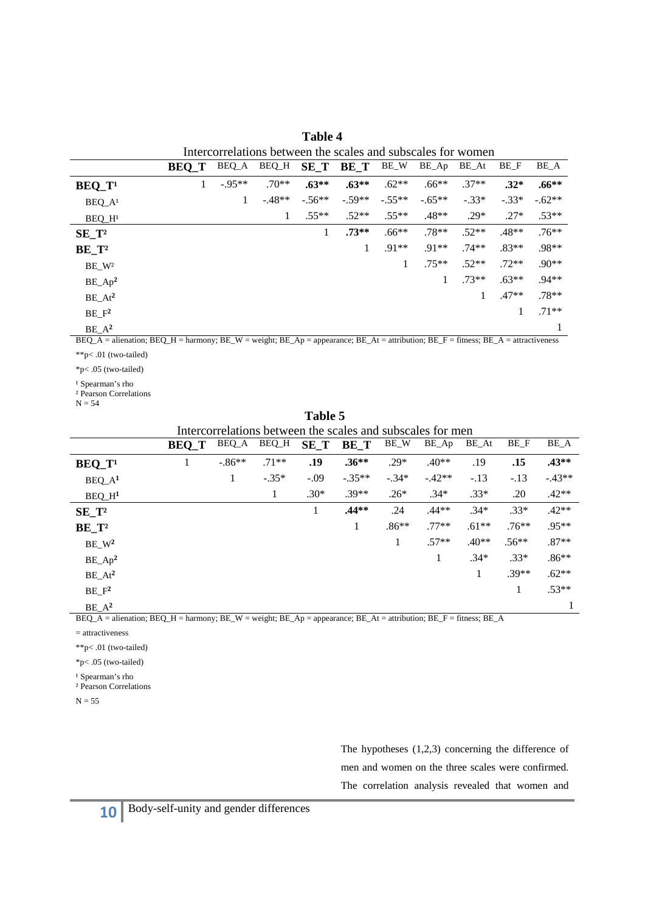|                         | Intercorrelations between the scales and subscales for women |         |         |          |          |          |          |         |         |          |
|-------------------------|--------------------------------------------------------------|---------|---------|----------|----------|----------|----------|---------|---------|----------|
|                         | <b>BEQ_T</b>                                                 | BEQ_A   | BEQ_H   | $SE_T$   | BE_T     | BE_W     | BE_Ap    | BE_At   | BE_F    | BE_A     |
| $BEQ_T$                 |                                                              | $-95**$ | $.70**$ | $.63**$  | $.63**$  | $.62**$  | $.66**$  | $.37**$ | $.32*$  | $.66***$ |
| $BEQ_A^1$               |                                                              | 1       | $-48**$ | $-.56**$ | $-.59**$ | $-.55**$ | $-.65**$ | $-.33*$ | $-.33*$ | $-.62**$ |
| $BEQ$ $H1$              |                                                              |         | 1       | $.55***$ | $.52**$  | $.55**$  | $.48**$  | $.29*$  | $.27*$  | $.53**$  |
| $SE_T^2$                |                                                              |         |         | 1        | $.73**$  | $.66**$  | $.78**$  | $.52**$ | $.48**$ | $.76**$  |
| $BE_T^2$                |                                                              |         |         |          | 1        | $.91**$  | $.91**$  | $.74**$ | $.83**$ | .98**    |
| $BE$ <sub>-</sub> $W^2$ |                                                              |         |         |          |          | 1        | $.75***$ | $.52**$ | $.72**$ | $.90**$  |
| $BE_Ap^2$               |                                                              |         |         |          |          |          |          | $.73**$ | $.63**$ | $.94**$  |
| $BE\_At^2$              |                                                              |         |         |          |          |          |          |         | $.47**$ | $.78**$  |
| $BE_F^2$                |                                                              |         |         |          |          |          |          |         | 1       | $.71**$  |
| $BE_A^2$                |                                                              |         |         |          |          |          |          |         |         |          |

**Table 4** 

BEQ\_A = alienation; BEQ\_H = harmony; BE\_W = weight; BE\_Ap = appearance; BE\_At = attribution; BE\_F = fitness; BE\_A = attractiveness

\*\*p< .01 (two-tailed)

\*p< .05 (two-tailed)

<sup>1</sup> Spearman's rho

² Pearson Correlations

 $N = 54$ 

| Table 5                                                    |              |          |         |        |          |         |          |         |         |          |
|------------------------------------------------------------|--------------|----------|---------|--------|----------|---------|----------|---------|---------|----------|
| Intercorrelations between the scales and subscales for men |              |          |         |        |          |         |          |         |         |          |
|                                                            | <b>BEQ_T</b> | BEQ_A    | BEQ_H   | $SE_T$ | BE T     | BE_W    | BE_Ap    | BE_At   | BE_F    | BE_A     |
| $BEQ_T^1$                                                  | 1            | $-.86**$ | $.71**$ | .19    | $.36**$  | $.29*$  | $.40**$  | .19     | .15     | $.43**$  |
| $BEQ_A^1$                                                  |              | 1        | $-.35*$ | $-.09$ | $-.35**$ | $-.34*$ | $-.42**$ | $-.13$  | $-.13$  | $-.43**$ |
| $BEQ_H^1$                                                  |              |          | 1       | $.30*$ | $.39**$  | $.26*$  | $.34*$   | $.33*$  | .20     | $.42**$  |
| $SE_T^2$                                                   |              |          |         | 1      | $.44**$  | .24     | $.44**$  | $.34*$  | $.33*$  | $.42**$  |
| $BE_T^2$                                                   |              |          |         |        | 1        | $.86**$ | $.77**$  | $.61**$ | $.76**$ | $.95**$  |
| $BE_{W^2}$                                                 |              |          |         |        |          | 1       | $.57**$  | $.40**$ | $.56**$ | $.87**$  |
| $BE_Ap^2$                                                  |              |          |         |        |          |         | 1        | $.34*$  | $.33*$  | $.86**$  |
| $BE\_At^2$                                                 |              |          |         |        |          |         |          | 1       | $.39**$ | $.62**$  |
| $BE_F^2$                                                   |              |          |         |        |          |         |          |         | 1       | $.53**$  |
| $BE_A^2$                                                   |              |          |         |        |          |         |          |         |         |          |

BEQ\_A = alienation; BEQ\_H = harmony; BE\_W = weight; BE\_Ap = appearance; BE\_At = attribution; BE\_F = fitness; BE\_A

= attractiveness

\*\*p< .01 (two-tailed)

\*p< .05 (two-tailed)

<sup>1</sup> Spearman's rho

² Pearson Correlations

 $N = 55$ 

The hypotheses (1,2,3) concerning the difference of men and women on the three scales were confirmed. The correlation analysis revealed that women and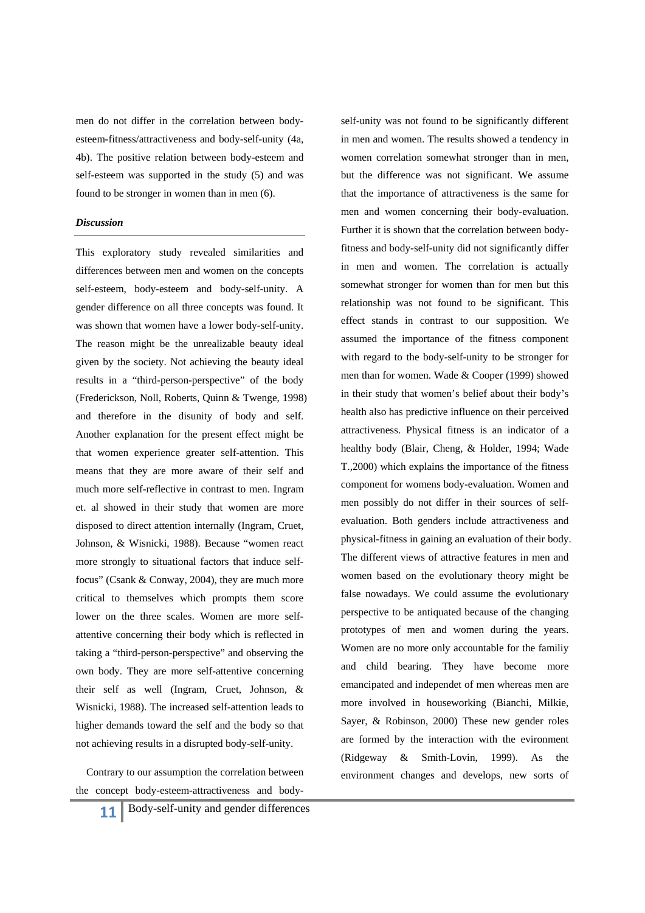men do not differ in the correlation between bodyesteem-fitness/attractiveness and body-self-unity (4a, 4b). The positive relation between body-esteem and self-esteem was supported in the study (5) and was found to be stronger in women than in men (6).

#### *Discussion*

This exploratory study revealed similarities and differences between men and women on the concepts self-esteem, body-esteem and body-self-unity. A gender difference on all three concepts was found. It was shown that women have a lower body-self-unity. The reason might be the unrealizable beauty ideal given by the society. Not achieving the beauty ideal results in a "third-person-perspective" of the body (Frederickson, Noll, Roberts, Quinn & Twenge, 1998) and therefore in the disunity of body and self. Another explanation for the present effect might be that women experience greater self-attention. This means that they are more aware of their self and much more self-reflective in contrast to men. Ingram et. al showed in their study that women are more disposed to direct attention internally (Ingram, Cruet, Johnson, & Wisnicki, 1988). Because "women react more strongly to situational factors that induce selffocus" (Csank & Conway, 2004), they are much more critical to themselves which prompts them score lower on the three scales. Women are more selfattentive concerning their body which is reflected in taking a "third-person-perspective" and observing the own body. They are more self-attentive concerning their self as well (Ingram, Cruet, Johnson, & Wisnicki, 1988). The increased self-attention leads to higher demands toward the self and the body so that not achieving results in a disrupted body-self-unity.

 Contrary to our assumption the correlation between the concept body-esteem-attractiveness and bodyself-unity was not found to be significantly different in men and women. The results showed a tendency in women correlation somewhat stronger than in men, but the difference was not significant. We assume that the importance of attractiveness is the same for men and women concerning their body-evaluation. Further it is shown that the correlation between bodyfitness and body-self-unity did not significantly differ in men and women. The correlation is actually somewhat stronger for women than for men but this relationship was not found to be significant. This effect stands in contrast to our supposition. We assumed the importance of the fitness component with regard to the body-self-unity to be stronger for men than for women. Wade & Cooper (1999) showed in their study that women's belief about their body's health also has predictive influence on their perceived attractiveness. Physical fitness is an indicator of a healthy body (Blair, Cheng, & Holder, 1994; Wade T.,2000) which explains the importance of the fitness component for womens body-evaluation. Women and men possibly do not differ in their sources of selfevaluation. Both genders include attractiveness and physical-fitness in gaining an evaluation of their body. The different views of attractive features in men and women based on the evolutionary theory might be false nowadays. We could assume the evolutionary perspective to be antiquated because of the changing prototypes of men and women during the years. Women are no more only accountable for the familiy and child bearing. They have become more emancipated and independet of men whereas men are more involved in houseworking (Bianchi, Milkie, Sayer, & Robinson, 2000) These new gender roles are formed by the interaction with the evironment (Ridgeway & Smith-Lovin, 1999). As the environment changes and develops, new sorts of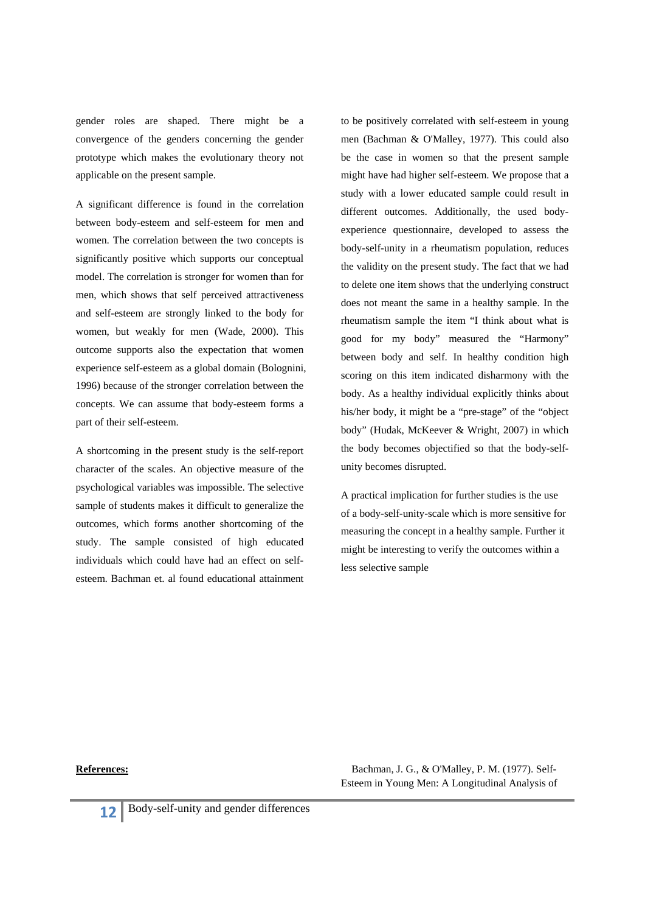gender roles are shaped. There might be a convergence of the genders concerning the gender prototype which makes the evolutionary theory not applicable on the present sample.

A significant difference is found in the correlation between body-esteem and self-esteem for men and women. The correlation between the two concepts is significantly positive which supports our conceptual model. The correlation is stronger for women than for men, which shows that self perceived attractiveness and self-esteem are strongly linked to the body for women, but weakly for men (Wade, 2000). This outcome supports also the expectation that women experience self-esteem as a global domain (Bolognini, 1996) because of the stronger correlation between the concepts. We can assume that body-esteem forms a part of their self-esteem.

A shortcoming in the present study is the self-report character of the scales. An objective measure of the psychological variables was impossible. The selective sample of students makes it difficult to generalize the outcomes, which forms another shortcoming of the study. The sample consisted of high educated individuals which could have had an effect on selfesteem. Bachman et. al found educational attainment to be positively correlated with self-esteem in young men (Bachman & O'Malley, 1977). This could also be the case in women so that the present sample might have had higher self-esteem. We propose that a study with a lower educated sample could result in different outcomes. Additionally, the used bodyexperience questionnaire, developed to assess the body-self-unity in a rheumatism population, reduces the validity on the present study. The fact that we had to delete one item shows that the underlying construct does not meant the same in a healthy sample. In the rheumatism sample the item "I think about what is good for my body" measured the "Harmony" between body and self. In healthy condition high scoring on this item indicated disharmony with the body. As a healthy individual explicitly thinks about his/her body, it might be a "pre-stage" of the "object body" (Hudak, McKeever & Wright, 2007) in which the body becomes objectified so that the body-selfunity becomes disrupted.

A practical implication for further studies is the use of a body-self-unity-scale which is more sensitive for measuring the concept in a healthy sample. Further it might be interesting to verify the outcomes within a less selective sample

**References:** Bachman, J. G., & O'Malley, P. M. (1977). Self-Esteem in Young Men: A Longitudinal Analysis of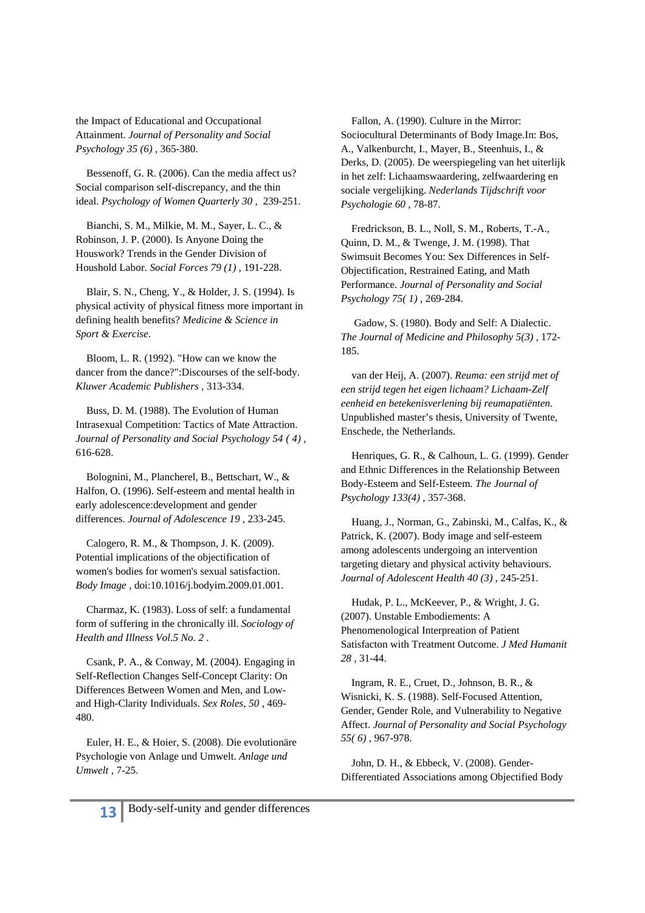the Impact of Educational and Occupational Attainment. *Journal of Personality and Social Psychology 35 (6)* , 365-380.

 Bessenoff, G. R. (2006). Can the media affect us? Social comparison self-discrepancy, and the thin ideal. *Psychology of Women Quarterly 30* , 239-251.

 Bianchi, S. M., Milkie, M. M., Sayer, L. C., & Robinson, J. P. (2000). Is Anyone Doing the Houswork? Trends in the Gender Division of Houshold Labor. *Social Forces 79 (1)* , 191-228.

 Blair, S. N., Cheng, Y., & Holder, J. S. (1994). Is physical activity of physical fitness more important in defining health benefits? *Medicine & Science in Sport & Exercise*.

 Bloom, L. R. (1992). "How can we know the dancer from the dance?":Discourses of the self-body. *Kluwer Academic Publishers* , 313-334.

 Buss, D. M. (1988). The Evolution of Human Intrasexual Competition: Tactics of Mate Attraction. *Journal of Personality and Social Psychology 54 ( 4)* , 616-628.

 Bolognini, M., Plancherel, B., Bettschart, W., & Halfon, O. (1996). Self-esteem and mental health in early adolescence:development and gender differences. *Journal of Adolescence 19* , 233-245.

 Calogero, R. M., & Thompson, J. K. (2009). Potential implications of the objectification of women's bodies for women's sexual satisfaction. *Body Image* , doi:10.1016/j.bodyim.2009.01.001.

 Charmaz, K. (1983). Loss of self: a fundamental form of suffering in the chronically ill. *Sociology of Health and Illness Vol.5 No. 2* .

 Csank, P. A., & Conway, M. (2004). Engaging in Self-Reflection Changes Self-Concept Clarity: On Differences Between Women and Men, and Lowand High-Clarity Individuals. *Sex Roles, 50* , 469- 480.

 Euler, H. E., & Hoier, S. (2008). Die evolutionäre Psychologie von Anlage und Umwelt. *Anlage und Umwelt* , 7-25.

 Fallon, A. (1990). Culture in the Mirror: Sociocultural Determinants of Body Image.In: Bos, A., Valkenburcht, I., Mayer, B., Steenhuis, I., & Derks, D. (2005). De weerspiegeling van het uiterlijk in het zelf: Lichaamswaardering, zelfwaardering en sociale vergelijking. *Nederlands Tijdschrift voor Psychologie 60* , 78-87.

 Fredrickson, B. L., Noll, S. M., Roberts, T.-A., Quinn, D. M., & Twenge, J. M. (1998). That Swimsuit Becomes You: Sex Differences in Self-Objectification, Restrained Eating, and Math Performance. *Journal of Personality and Social Psychology 75( 1)* , 269-284.

 Gadow, S. (1980). Body and Self: A Dialectic. *The Journal of Medicine and Philosophy 5(3)* , 172- 185.

 van der Heij, A. (2007). *Reuma: een strijd met of een strijd tegen het eigen lichaam? Lichaam-Zelf eenheid en betekenisverlening bij reumapatiënten.*  Unpublished master's thesis, University of Twente, Enschede, the Netherlands.

 Henriques, G. R., & Calhoun, L. G. (1999). Gender and Ethnic Differences in the Relationship Between Body-Esteem and Self-Esteem. *The Journal of Psychology 133(4)* , 357-368.

 Huang, J., Norman, G., Zabinski, M., Calfas, K., & Patrick, K. (2007). Body image and self-esteem among adolescents undergoing an intervention targeting dietary and physical activity behaviours. *Journal of Adolescent Health 40 (3)* , 245-251.

 Hudak, P. L., McKeever, P., & Wright, J. G. (2007). Unstable Embodiements: A Phenomenological Interpreation of Patient Satisfacton with Treatment Outcome. *J Med Humanit 28* , 31-44.

 Ingram, R. E., Cruet, D., Johnson, B. R., & Wisnicki, K. S. (1988). Self-Focused Attention, Gender, Gender Role, and Vulnerability to Negative Affect. *Journal of Personality and Social Psychology 55( 6)* , 967-978.

 John, D. H., & Ebbeck, V. (2008). Gender-Differentiated Associations among Objectified Body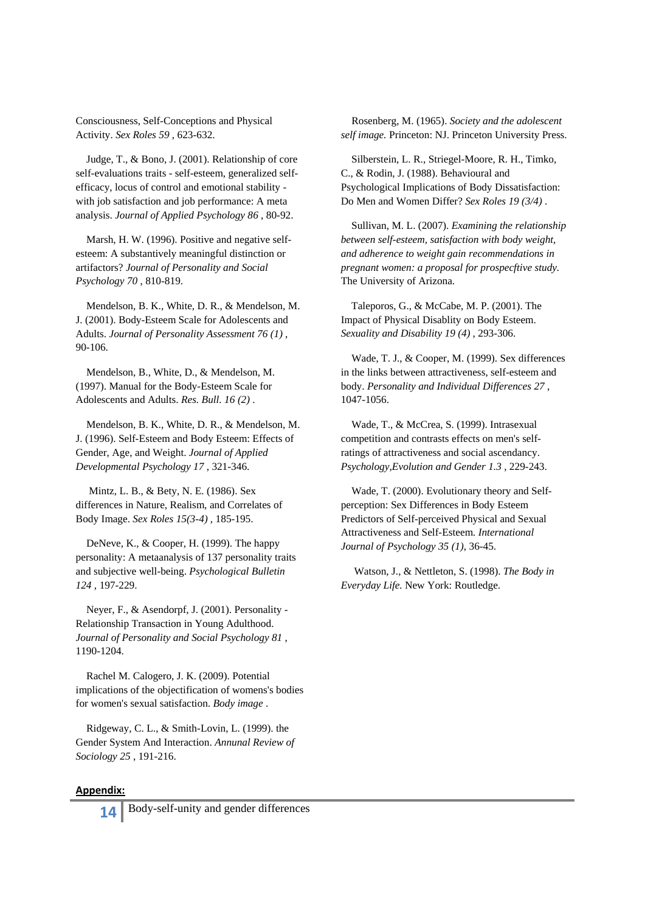Consciousness, Self-Conceptions and Physical Activity. *Sex Roles 59* , 623-632.

 Judge, T., & Bono, J. (2001). Relationship of core self-evaluations traits - self-esteem, generalized selfefficacy, locus of control and emotional stability with job satisfaction and job performance: A meta analysis. *Journal of Applied Psychology 86* , 80-92.

 Marsh, H. W. (1996). Positive and negative selfesteem: A substantively meaningful distinction or artifactors? *Journal of Personality and Social Psychology 70* , 810-819.

 Mendelson, B. K., White, D. R., & Mendelson, M. J. (2001). Body-Esteem Scale for Adolescents and Adults. *Journal of Personality Assessment 76 (1)* , 90-106.

 Mendelson, B., White, D., & Mendelson, M. (1997). Manual for the Body-Esteem Scale for Adolescents and Adults. *Res. Bull. 16 (2)* .

 Mendelson, B. K., White, D. R., & Mendelson, M. J. (1996). Self-Esteem and Body Esteem: Effects of Gender, Age, and Weight. *Journal of Applied Developmental Psychology 17* , 321-346.

 Mintz, L. B., & Bety, N. E. (1986). Sex differences in Nature, Realism, and Correlates of Body Image. *Sex Roles 15(3-4)* , 185-195.

 DeNeve, K., & Cooper, H. (1999). The happy personality: A metaanalysis of 137 personality traits and subjective well-being. *Psychological Bulletin 124* , 197-229.

 Neyer, F., & Asendorpf, J. (2001). Personality - Relationship Transaction in Young Adulthood. *Journal of Personality and Social Psychology 81* , 1190-1204.

 Rachel M. Calogero, J. K. (2009). Potential implications of the objectification of womens's bodies for women's sexual satisfaction. *Body image* .

 Ridgeway, C. L., & Smith-Lovin, L. (1999). the Gender System And Interaction. *Annunal Review of Sociology 25* , 191-216.

#### **Appendix:**

**14** Body-self-unity and gender differences

 Rosenberg, M. (1965). *Society and the adolescent self image.* Princeton: NJ. Princeton University Press.

 Silberstein, L. R., Striegel-Moore, R. H., Timko, C., & Rodin, J. (1988). Behavioural and Psychological Implications of Body Dissatisfaction: Do Men and Women Differ? *Sex Roles 19 (3/4)* .

 Sullivan, M. L. (2007). *Examining the relationship between self-esteem, satisfaction with body weight, and adherence to weight gain recommendations in pregnant women: a proposal for prospecftive study.* The University of Arizona.

 Taleporos, G., & McCabe, M. P. (2001). The Impact of Physical Disablity on Body Esteem. *Sexuality and Disability 19 (4)* , 293-306.

 Wade, T. J., & Cooper, M. (1999). Sex differences in the links between attractiveness, self-esteem and body. *Personality and Individual Differences 27* , 1047-1056.

 Wade, T., & McCrea, S. (1999). Intrasexual competition and contrasts effects on men's selfratings of attractiveness and social ascendancy. *Psychology,Evolution and Gender 1.3* , 229-243.

 Wade, T. (2000). Evolutionary theory and Selfperception: Sex Differences in Body Esteem Predictors of Self-perceived Physical and Sexual Attractiveness and Self-Esteem. *International Journal of Psychology 35 (1)*, 36-45.

 Watson, J., & Nettleton, S. (1998). *The Body in Everyday Life.* New York: Routledge.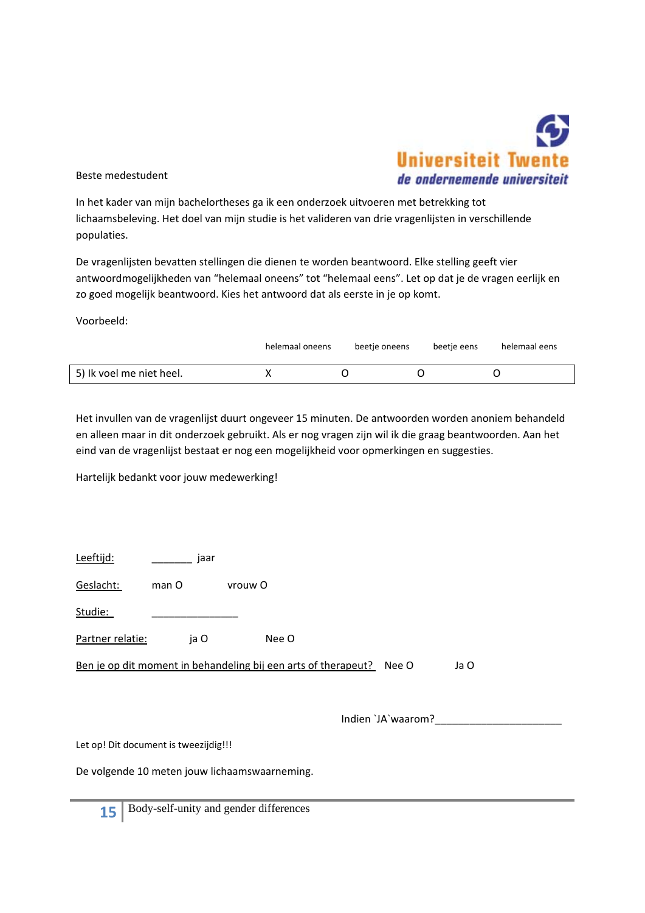

Beste medestudent

In het kader van mijn bachelortheses ga ik een onderzoek uitvoeren met betrekking tot lichaamsbeleving. Het doel van mijn studie is het valideren van drie vragenlijsten in verschillende populaties.

De vragenlijsten bevatten stellingen die dienen te worden beantwoord. Elke stelling geeft vier antwoordmogelijkheden van "helemaal oneens" tot "helemaal eens". Let op dat je de vragen eerlijk en zo goed mogelijk beantwoord. Kies het antwoord dat als eerste in je op komt.

Voorbeeld:

|                          | helemaal oneens | beetje oneens | beetje eens | helemaal eens |
|--------------------------|-----------------|---------------|-------------|---------------|
| 5) Ik voel me niet heel. |                 |               |             |               |

Het invullen van de vragenlijst duurt ongeveer 15 minuten. De antwoorden worden anoniem behandeld en alleen maar in dit onderzoek gebruikt. Als er nog vragen zijn wil ik die graag beantwoorden. Aan het eind van de vragenlijst bestaat er nog een mogelijkheid voor opmerkingen en suggesties.

Hartelijk bedankt voor jouw medewerking!

| Leeftijd:        | jaar  |                                                                      |      |
|------------------|-------|----------------------------------------------------------------------|------|
| Geslacht:        | man O | vrouw O                                                              |      |
| Studie:          |       |                                                                      |      |
| Partner relatie: | ja O  | Nee O                                                                |      |
|                  |       | Ben je op dit moment in behandeling bij een arts of therapeut? Nee O | Ja O |

Indien `JA`waarom?\_\_\_\_\_\_\_\_\_\_\_\_\_\_\_\_\_\_\_\_\_\_

Let op! Dit document is tweezijdig!!!

De volgende 10 meten jouw lichaamswaarneming.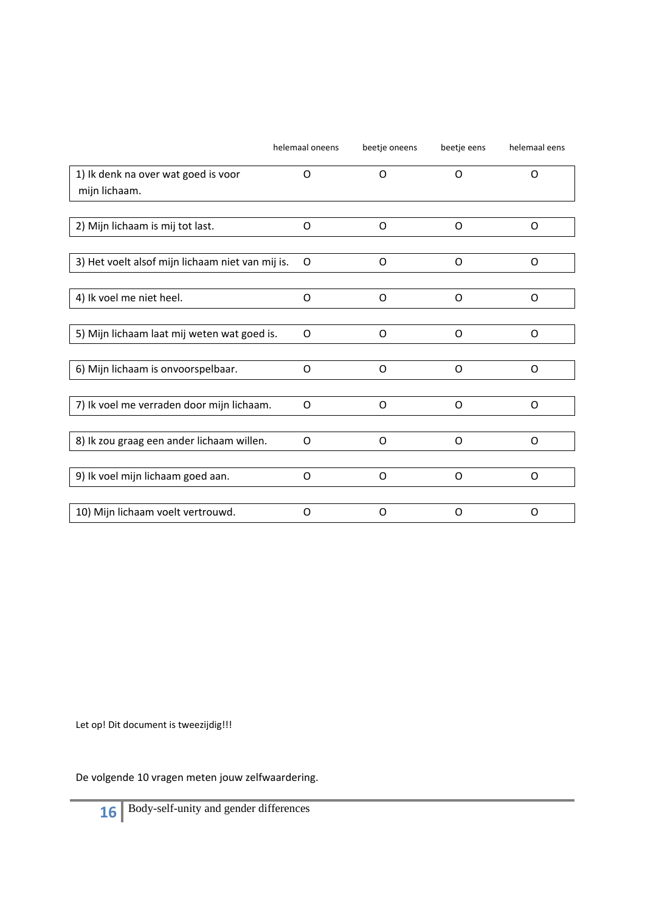|                                                      | helemaal oneens | beetje oneens | beetje eens | helemaal eens |
|------------------------------------------------------|-----------------|---------------|-------------|---------------|
| 1) Ik denk na over wat goed is voor<br>mijn lichaam. | O               | $\Omega$      | $\Omega$    | $\Omega$      |
|                                                      |                 |               |             |               |
| 2) Mijn lichaam is mij tot last.                     | O               | O             | 0           | O             |
|                                                      |                 |               |             |               |
| 3) Het voelt alsof mijn lichaam niet van mij is.     | 0               | O             | O           | O             |
|                                                      |                 |               |             |               |
| 4) Ik voel me niet heel.                             | O               | O             | O           | O             |
|                                                      |                 |               |             |               |
| 5) Mijn lichaam laat mij weten wat goed is.          | $\Omega$        | O             | $\Omega$    | $\Omega$      |
|                                                      |                 |               |             |               |
| 6) Mijn lichaam is onvoorspelbaar.                   | O               | $\Omega$      | O           | $\Omega$      |
|                                                      |                 |               |             |               |
| 7) Ik voel me verraden door mijn lichaam.            | O               | O             | O           | O             |
|                                                      |                 |               |             |               |
| 8) Ik zou graag een ander lichaam willen.            | O               | O             | O           | O             |
|                                                      |                 |               |             |               |
| 9) Ik voel mijn lichaam goed aan.                    | O               | O             | O           | O             |
|                                                      |                 |               |             |               |
| 10) Mijn lichaam voelt vertrouwd.                    | O               | O             | O           | $\Omega$      |

De volgende 10 vragen meten jouw zelfwaardering.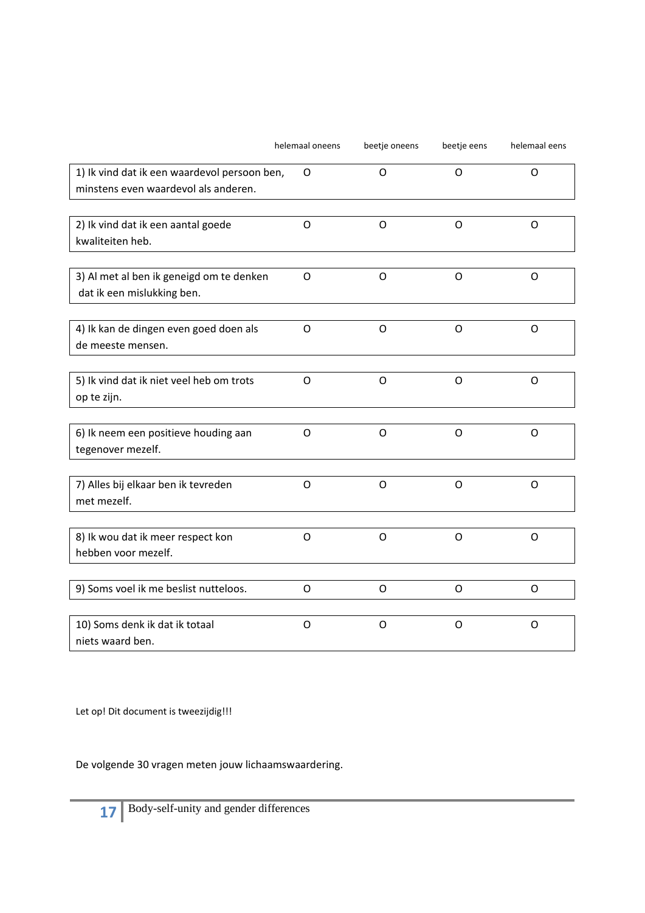|                                                                                      | helemaal oneens | beetje oneens | beetje eens | helemaal eens |
|--------------------------------------------------------------------------------------|-----------------|---------------|-------------|---------------|
| 1) Ik vind dat ik een waardevol persoon ben,<br>minstens even waardevol als anderen. | $\circ$         | O             | O           | O             |
| 2) Ik vind dat ik een aantal goede<br>kwaliteiten heb.                               | $\circ$         | $\circ$       | O           | O             |
| 3) Al met al ben ik geneigd om te denken<br>dat ik een mislukking ben.               | O               | O             | O           | O             |
| 4) Ik kan de dingen even goed doen als<br>de meeste mensen.                          | $\circ$         | $\circ$       | O           | O             |
| 5) Ik vind dat ik niet veel heb om trots<br>op te zijn.                              | O               | O             | O           | O             |
| 6) Ik neem een positieve houding aan<br>tegenover mezelf.                            | $\circ$         | O             | O           | O             |
| 7) Alles bij elkaar ben ik tevreden<br>met mezelf.                                   | $\circ$         | O             | O           | O             |
| 8) Ik wou dat ik meer respect kon<br>hebben voor mezelf.                             | $\circ$         | $\circ$       | O           | O             |
| 9) Soms voel ik me beslist nutteloos.                                                | O               | O             | O           | O             |
| 10) Soms denk ik dat ik totaal<br>niets waard ben.                                   | O               | O             | O           | O             |

De volgende 30 vragen meten jouw lichaamswaardering.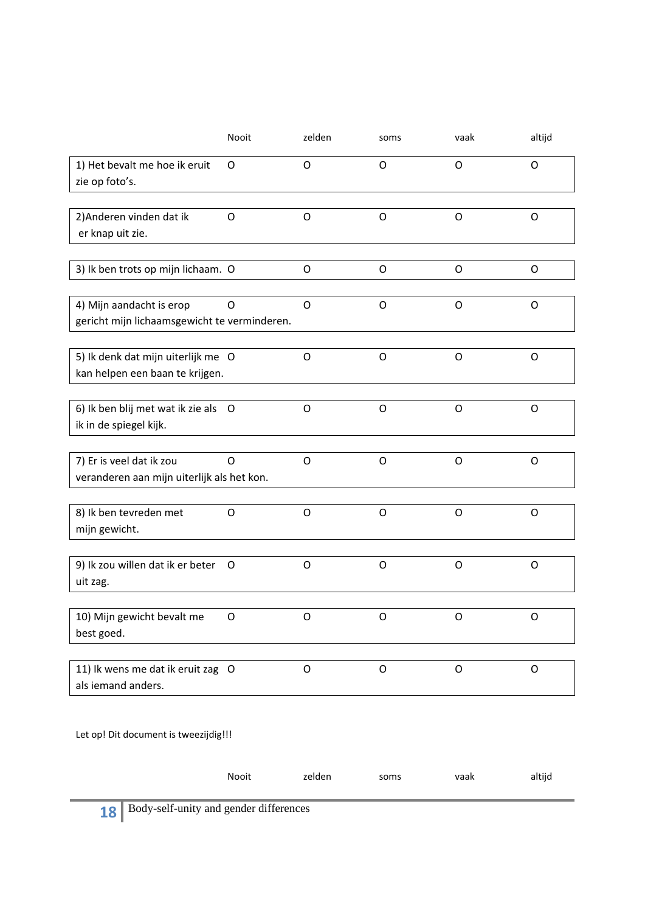|                                                                          | Nooit | zelden      | soms    | vaak    | altijd      |
|--------------------------------------------------------------------------|-------|-------------|---------|---------|-------------|
| 1) Het bevalt me hoe ik eruit<br>zie op foto's.                          | O     | O           | O       | O       | O           |
| 2) Anderen vinden dat ik<br>er knap uit zie.                             | O     | $\mathsf O$ | O       | $\circ$ | $\circ$     |
| 3) Ik ben trots op mijn lichaam. O                                       |       | O           | O       | O       | O           |
| 4) Mijn aandacht is erop<br>gericht mijn lichaamsgewicht te verminderen. | O     | O           | O       | O       | O           |
| 5) Ik denk dat mijn uiterlijk me O<br>kan helpen een baan te krijgen.    |       | $\circ$     | $\circ$ | O       | $\mathsf O$ |
| 6) Ik ben blij met wat ik zie als O<br>ik in de spiegel kijk.            |       | O           | O       | O       | O           |
| 7) Er is veel dat ik zou<br>veranderen aan mijn uiterlijk als het kon.   | O     | $\mathsf O$ | O       | $\circ$ | $\circ$     |
| 8) Ik ben tevreden met<br>mijn gewicht.                                  | O     | O           | O       | O       | O           |
| 9) Ik zou willen dat ik er beter<br>uit zag.                             | O     | $\circ$     | O       | $\circ$ | $\mathsf O$ |
| 10) Mijn gewicht bevalt me<br>best goed.                                 | O     | O           | O       | O       | O           |
| 11) Ik wens me dat ik eruit zag O<br>als iemand anders.                  |       | O           | O       | O       | O           |

|                                                                       | Nooit | zelden | soms | vaak | altijd |
|-----------------------------------------------------------------------|-------|--------|------|------|--------|
|                                                                       |       |        |      |      |        |
| $\mathbf{A} = \mathbf{D}$ Dody solf unity and associated differences. |       |        |      |      |        |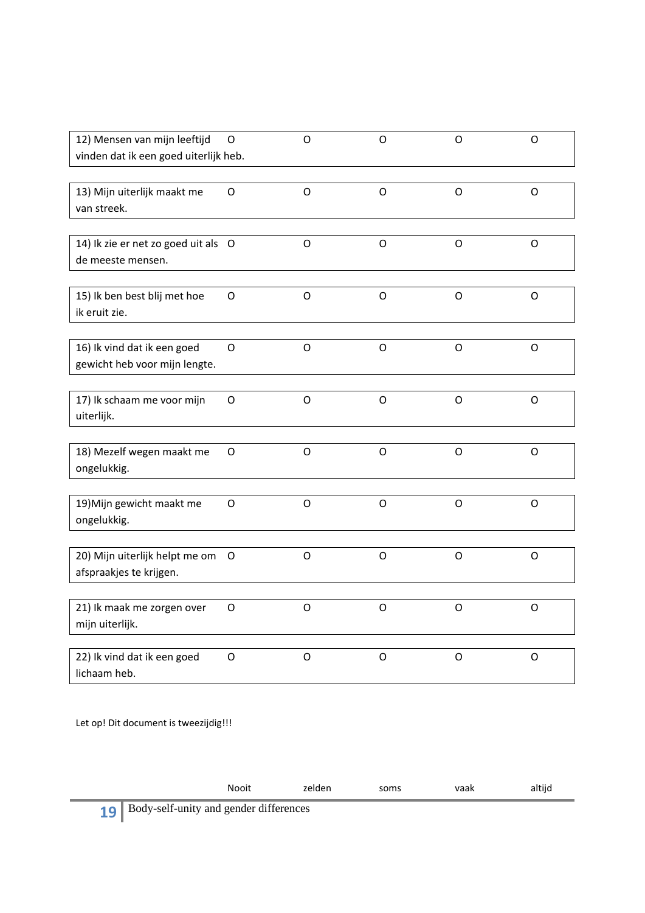| 12) Mensen van mijn leeftijd<br>vinden dat ik een goed uiterlijk heb. | O           | O           | O            | O           | O           |
|-----------------------------------------------------------------------|-------------|-------------|--------------|-------------|-------------|
| 13) Mijn uiterlijk maakt me<br>van streek.                            | O           | O           | $\circ$      | O           | O           |
| 14) Ik zie er net zo goed uit als O<br>de meeste mensen.              |             | $\circ$     | $\mathsf{O}$ | O           | O           |
| 15) Ik ben best blij met hoe<br>ik eruit zie.                         | O           | $\circ$     | O            | O           | O           |
| 16) Ik vind dat ik een goed<br>gewicht heb voor mijn lengte.          | $\circ$     | $\mathsf O$ | O            | O           | $\mathsf O$ |
| 17) Ik schaam me voor mijn<br>uiterlijk.                              | O           | O           | O            | O           | O           |
| 18) Mezelf wegen maakt me<br>ongelukkig.                              | $\mathsf O$ | $\circ$     | $\circ$      | $\circ$     | $\mathsf O$ |
| 19) Mijn gewicht maakt me<br>ongelukkig.                              | O           | $\circ$     | O            | O           | O           |
| 20) Mijn uiterlijk helpt me om<br>afspraakjes te krijgen.             | O           | $\circ$     | $\circ$      | $\mathsf O$ | $\mathsf O$ |
| 21) Ik maak me zorgen over<br>mijn uiterlijk.                         | O           | $\Omega$    | O            | $\Omega$    | O           |
| 22) Ik vind dat ik een goed<br>lichaam heb.                           | O           | O           | O            | O           | O           |

| zelden<br><b>Nooit</b><br>vaak<br>soms | altijd |
|----------------------------------------|--------|
|----------------------------------------|--------|